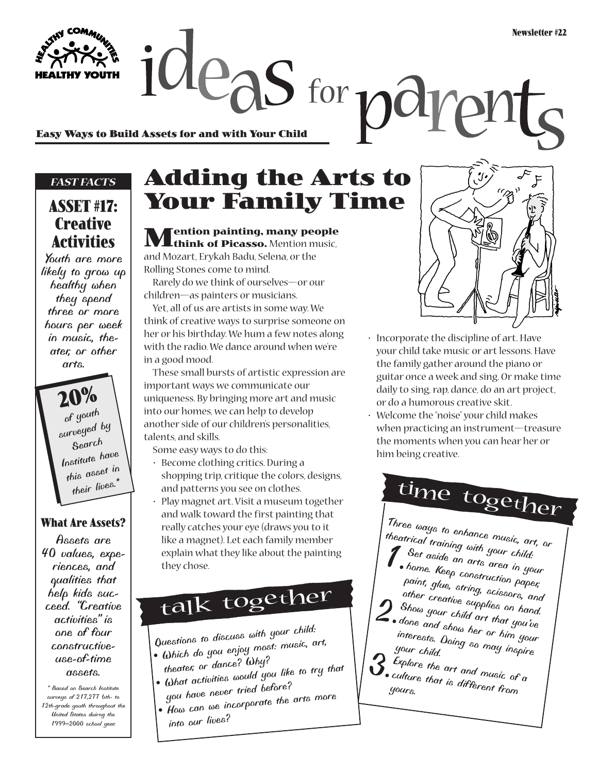**Easy Ways to Build Assets for and with Your Child**

#### *FAST FACTS*

### **ASSET #17: Creative Activities**

*Youth are more likely to grow up healthy when they spend three or more hours per week in music, theater, or other arts.*

> **20%** *of youth surveyed by Search Institute have this asset in their lives.\**

#### **What Are Assets?**

*Assets are 40 values, experiences, and qualities that help kids succeed. "Creative activities" is one of four constructiveuse-of-time assets.*

*\* Based on Search Institute surveys of 217,277 6th- to 12th-grade youth throughout the United States duirng the 1999–2000 school year.*

## **Adding the Arts to Your Family Time**

 $O_{\text{e}as}$  for  $n_{\text{e}}$ 

**Mention painting, many people think of Picasso.** Mention music,

and Mozart, Erykah Badu, Selena, or the Rolling Stones come to mind.

Rarely do we think of ourselves—or our children—as painters or musicians.

Yet, all of us are artists in some way. We think of creative ways to surprise someone on her or his birthday. We hum a few notes along with the radio. We dance around when we're in a good mood.

These small bursts of artistic expression are important ways we communicate our uniqueness. By bringing more art and music into our homes, we can help to develop another side of our children's personalities, talents, and skills.

- Some easy ways to do this:
- Become clothing critics. During a shopping trip, critique the colors, designs, and patterns you see on clothes.
- Play magnet art. Visit a museum together and walk toward the first painting that really catches your eye (draws you to it like a magnet). Let each family member explain what they like about the painting they chose.

# talk together

*Questions to discuss with your child: • Which do you enjoy most: music, art,*

- *theater, or dance? Why? • What activities would you like to try that*
- *you have never tried before? • How can we incorporate the arts more*
	- *into our lives?*



- Incorporate the discipline of art. Have your child take music or art lessons. Have the family gather around the piano or guitar once a week and sing. Or make time daily to sing, rap, dance, do an art project, or do a humorous creative skit.
- Welcome the "noise" your child makes when practicing an instrument—treasure the moments when you can hear her or him being creative.